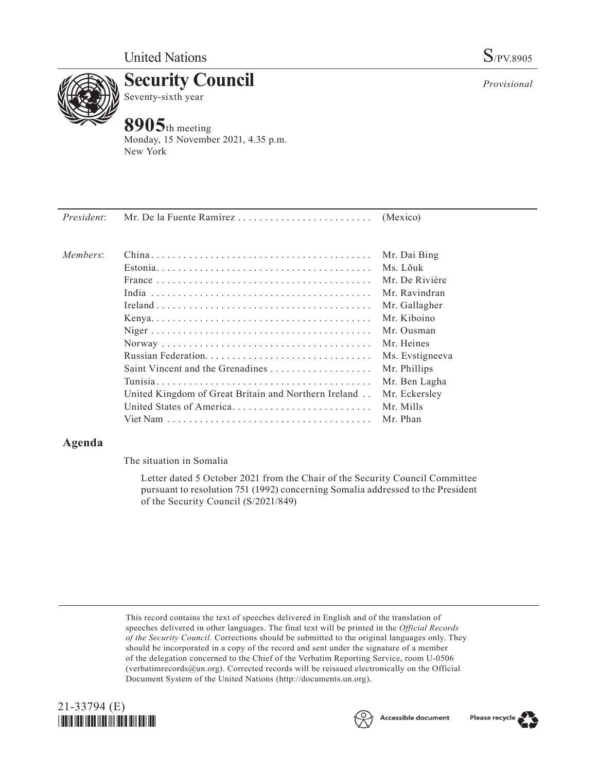

**Security Council** Seventy-sixth year

# **8905**th meeting

Monday, 15 November 2021, 4.35 p.m. New York

| President: |                                                      |                 |
|------------|------------------------------------------------------|-----------------|
| Members:   |                                                      |                 |
|            |                                                      | Mr. Dai Bing    |
|            |                                                      | Ms. Lõuk        |
|            |                                                      | Mr. De Rivière  |
|            |                                                      | Mr. Ravindran   |
|            |                                                      | Mr. Gallagher   |
|            |                                                      | Mr. Kiboino     |
|            |                                                      | Mr. Ousman      |
|            |                                                      | Mr. Heines      |
|            |                                                      | Ms. Evstigneeva |
|            | Saint Vincent and the Grenadines                     | Mr. Phillips    |
|            |                                                      | Mr. Ben Lagha   |
|            | United Kingdom of Great Britain and Northern Ireland | Mr. Eckersley   |
|            | United States of America                             | Mr. Mills       |
|            |                                                      | Mr. Phan        |
|            |                                                      |                 |

# **Agenda**

The situation in Somalia

Letter dated 5 October 2021 from the Chair of the Security Council Committee pursuant to resolution 751 (1992) concerning Somalia addressed to the President of the Security Council (S/2021/849)

This record contains the text of speeches delivered in English and of the translation of speeches delivered in other languages. The final text will be printed in the *Official Records of the Security Council.* Corrections should be submitted to the original languages only. They should be incorporated in a copy of the record and sent under the signature of a member of the delegation concerned to the Chief of the Verbatim Reporting Service, room U-0506 (verbatimrecords@un.org). Corrected records will be reissued electronically on the Official Document System of the United Nations (http://documents.un.org).







*Provisional*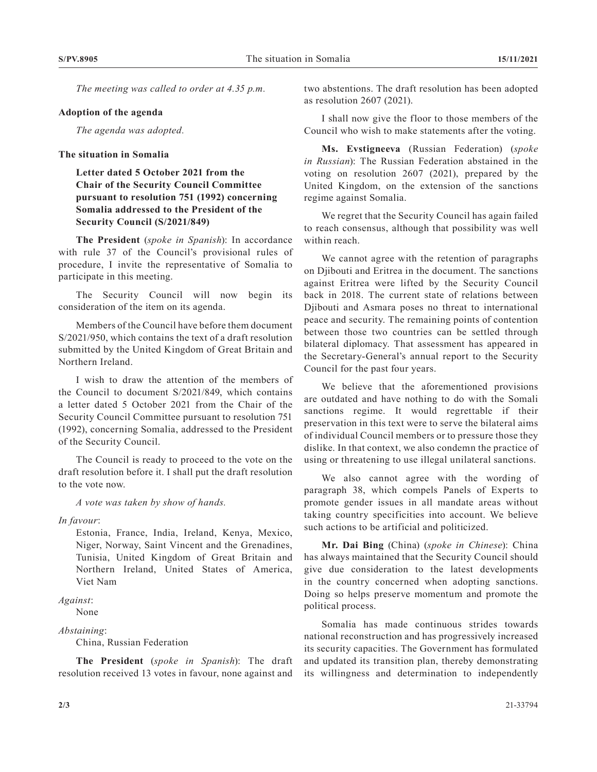*The meeting was called to order at 4.35 p.m.*

#### **Adoption of the agenda**

*The agenda was adopted.*

## **The situation in Somalia**

**Letter dated 5 October 2021 from the Chair of the Security Council Committee pursuant to resolution 751 (1992) concerning Somalia addressed to the President of the Security Council (S/2021/849)**

**The President** (*spoke in Spanish*): In accordance with rule 37 of the Council's provisional rules of procedure, I invite the representative of Somalia to participate in this meeting.

The Security Council will now begin its consideration of the item on its agenda.

Members of the Council have before them document S/2021/950, which contains the text of a draft resolution submitted by the United Kingdom of Great Britain and Northern Ireland.

I wish to draw the attention of the members of the Council to document S/2021/849, which contains a letter dated 5 October 2021 from the Chair of the Security Council Committee pursuant to resolution 751 (1992), concerning Somalia, addressed to the President of the Security Council.

The Council is ready to proceed to the vote on the draft resolution before it. I shall put the draft resolution to the vote now.

*A vote was taken by show of hands.*

*In favour*:

Estonia, France, India, Ireland, Kenya, Mexico, Niger, Norway, Saint Vincent and the Grenadines, Tunisia, United Kingdom of Great Britain and Northern Ireland, United States of America, Viet Nam

### *Against*:

None

#### *Abstaining*:

China, Russian Federation

**The President** (*spoke in Spanish*): The draft resolution received 13 votes in favour, none against and

two abstentions. The draft resolution has been adopted as resolution 2607 (2021).

I shall now give the floor to those members of the Council who wish to make statements after the voting.

**Ms. Evstigneeva** (Russian Federation) (*spoke in Russian*): The Russian Federation abstained in the voting on resolution 2607 (2021), prepared by the United Kingdom, on the extension of the sanctions regime against Somalia.

We regret that the Security Council has again failed to reach consensus, although that possibility was well within reach.

We cannot agree with the retention of paragraphs on Djibouti and Eritrea in the document. The sanctions against Eritrea were lifted by the Security Council back in 2018. The current state of relations between Djibouti and Asmara poses no threat to international peace and security. The remaining points of contention between those two countries can be settled through bilateral diplomacy. That assessment has appeared in the Secretary-General's annual report to the Security Council for the past four years.

We believe that the aforementioned provisions are outdated and have nothing to do with the Somali sanctions regime. It would regrettable if their preservation in this text were to serve the bilateral aims of individual Council members or to pressure those they dislike. In that context, we also condemn the practice of using or threatening to use illegal unilateral sanctions.

We also cannot agree with the wording of paragraph 38, which compels Panels of Experts to promote gender issues in all mandate areas without taking country specificities into account. We believe such actions to be artificial and politicized.

**Mr. Dai Bing** (China) (*spoke in Chinese*): China has always maintained that the Security Council should give due consideration to the latest developments in the country concerned when adopting sanctions. Doing so helps preserve momentum and promote the political process.

Somalia has made continuous strides towards national reconstruction and has progressively increased its security capacities. The Government has formulated and updated its transition plan, thereby demonstrating its willingness and determination to independently